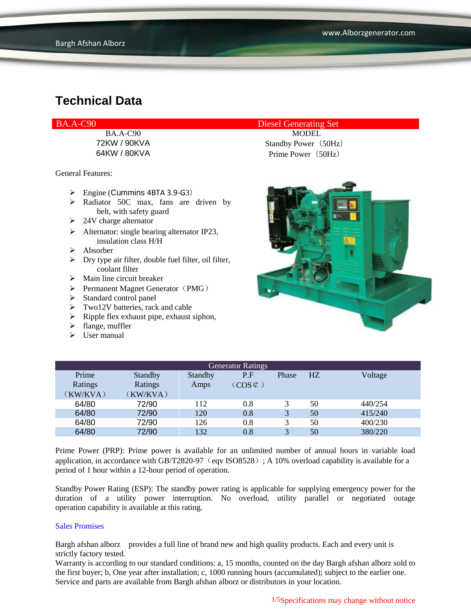#### BA.A-C90 Diesel Generating Set

64KW / 80KVA Prime Power(50Hz)

General Features:

- $\triangleright$  Engine (Cummins 4BTA 3.9-G3)
- $\triangleright$  Radiator 50C max, fans are driven by belt, with safety guard
- $\geq$  24V charge alternator
- $\triangleright$  Alternator: single bearing alternator IP23, insulation class H/H
- $\triangleright$  Absorber
- $\triangleright$  Dry type air filter, double fuel filter, oil filter, coolant filter
- $\triangleright$  Main line circuit breaker
- $\triangleright$  Permanent Magnet Generator (PMG)
- $\triangleright$  Standard control panel
- $\triangleright$  Two12V batteries, rack and cable
- $\triangleright$  Ripple flex exhaust pipe, exhaust siphon,
- $\blacktriangleright$  flange, muffler
- $\triangleright$  User manual

# BA.A-C90 MODEL 72KW / 90KVA Standby Power(50Hz)



| <b>Generator Ratings</b> |                |         |                     |              |    |         |
|--------------------------|----------------|---------|---------------------|--------------|----|---------|
| Prime                    | <b>Standby</b> | Standby | P.F                 | Phase        | HZ | Voltage |
| Ratings                  | Ratings        | Amps    | $(COS \mathcal{L})$ |              |    |         |
| (KW/KVA)                 | (KW/KVA)       |         |                     |              |    |         |
| 64/80                    | 72/90          | 112     | 0.8                 |              | 50 | 440/254 |
| 64/80                    | 72/90          | 120     | 0.8                 | 3            | 50 | 415/240 |
| 64/80                    | 72/90          | 126     | 0.8                 |              | 50 | 400/230 |
| 64/80                    | 72/90          | 132     | 0.8                 | $\mathbf{R}$ | 50 | 380/220 |

Prime Power (PRP): Prime power is available for an unlimited number of annual hours in variable load application, in accordance with GB/T2820-97 (eqv ISO8528); A 10% overload capability is available for a period of 1 hour within a 12-hour period of operation.

Standby Power Rating (ESP): The standby power rating is applicable for supplying emergency power for the duration of a utility power interruption. No overload, utility parallel or negotiated outage operation capability is available at this rating.

#### Sales Promises

Bargh afshan alborz provides a full line of brand new and high quality products. Each and every unit is strictly factory tested.

Warranty is according to our standard conditions: a, 15 months, counted on the day Bargh afshan alborz sold to the first buyer; b, One year after installation; c, 1000 running hours (accumulated); subject to the earlier one. Service and parts are available from Bargh afshan alborz or distributors in your location.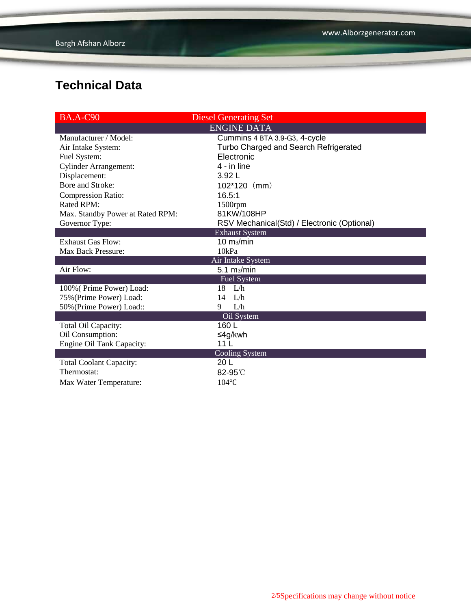| <b>BA.A-C90</b>                  | <b>Diesel Generating Set</b>                |
|----------------------------------|---------------------------------------------|
|                                  | <b>ENGINE DATA</b>                          |
| Manufacturer / Model:            | Cummins 4 BTA 3.9-G3, 4-cycle               |
| Air Intake System:               | Turbo Charged and Search Refrigerated       |
| Fuel System:                     | Electronic                                  |
| <b>Cylinder Arrangement:</b>     | 4 - in line                                 |
| Displacement:                    | 3.92L                                       |
| Bore and Stroke:                 | $102*120$ (mm)                              |
| <b>Compression Ratio:</b>        | 16.5:1                                      |
| <b>Rated RPM:</b>                | $1500$ rpm                                  |
| Max. Standby Power at Rated RPM: | 81KW/108HP                                  |
| Governor Type:                   | RSV Mechanical(Std) / Electronic (Optional) |
|                                  | <b>Exhaust System</b>                       |
| <b>Exhaust Gas Flow:</b>         | $10 \text{ m}$ <sub>3</sub> /min            |
| Max Back Pressure:               | 10kPa                                       |
|                                  | Air Intake System                           |
| Air Flow:                        | $5.1 \text{ m}$                             |
|                                  | <b>Fuel System</b>                          |
| 100% (Prime Power) Load:         | $18$ L/h                                    |
| 75% (Prime Power) Load:          | 14<br>L/h                                   |
| 50% (Prime Power) Load::         | L/h<br>9                                    |
|                                  | Oil System                                  |
| Total Oil Capacity:              | 160 L                                       |
| Oil Consumption:                 | ≤4g/kwh                                     |
| Engine Oil Tank Capacity:        | 11 L                                        |
|                                  | <b>Cooling System</b>                       |
| <b>Total Coolant Capacity:</b>   | 20 L                                        |
| Thermostat:                      | 82-95°C                                     |
| Max Water Temperature:           | $104$ °C                                    |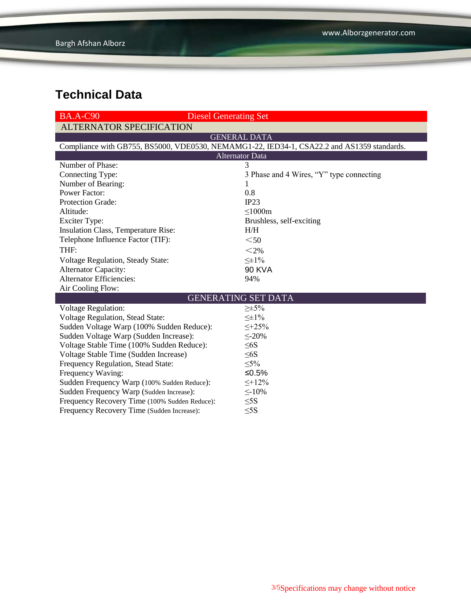| <b>Diesel Generating Set</b><br><b>BA.A-C90</b>                                            |                                          |  |  |  |  |
|--------------------------------------------------------------------------------------------|------------------------------------------|--|--|--|--|
| <b>ALTERNATOR SPECIFICATION</b>                                                            |                                          |  |  |  |  |
| <b>GENERAL DATA</b>                                                                        |                                          |  |  |  |  |
| Compliance with GB755, BS5000, VDE0530, NEMAMG1-22, IED34-1, CSA22.2 and AS1359 standards. |                                          |  |  |  |  |
| <b>Alternator Data</b>                                                                     |                                          |  |  |  |  |
| Number of Phase:                                                                           | 3                                        |  |  |  |  |
| Connecting Type:                                                                           | 3 Phase and 4 Wires, "Y" type connecting |  |  |  |  |
| Number of Bearing:                                                                         | 1                                        |  |  |  |  |
| <b>Power Factor:</b>                                                                       | 0.8                                      |  |  |  |  |
| <b>Protection Grade:</b>                                                                   | IP23                                     |  |  |  |  |
| Altitude:                                                                                  | $\leq$ 1000m                             |  |  |  |  |
| <b>Exciter Type:</b>                                                                       | Brushless, self-exciting                 |  |  |  |  |
| Insulation Class, Temperature Rise:                                                        | H/H                                      |  |  |  |  |
| Telephone Influence Factor (TIF):                                                          | $50$                                     |  |  |  |  |
| THF:                                                                                       | $<$ 2%                                   |  |  |  |  |
| Voltage Regulation, Steady State:                                                          | $\leq \pm 1\%$                           |  |  |  |  |
| <b>Alternator Capacity:</b>                                                                | <b>90 KVA</b>                            |  |  |  |  |
| <b>Alternator Efficiencies:</b>                                                            | 94%                                      |  |  |  |  |
| Air Cooling Flow:                                                                          |                                          |  |  |  |  |
| <b>GENERATING SET DATA</b>                                                                 |                                          |  |  |  |  |
| <b>Voltage Regulation:</b>                                                                 | $\geq \pm 5\%$                           |  |  |  |  |
| <b>Voltage Regulation, Stead State:</b>                                                    | $\leq \pm 1\%$                           |  |  |  |  |
| Sudden Voltage Warp (100% Sudden Reduce):                                                  | $\leq +25\%$                             |  |  |  |  |
| Sudden Voltage Warp (Sudden Increase):                                                     | $\leq$ -20%                              |  |  |  |  |
| Voltage Stable Time (100% Sudden Reduce):                                                  | $\leq 6S$                                |  |  |  |  |
| Voltage Stable Time (Sudden Increase)                                                      | $\leq 6S$                                |  |  |  |  |
| Frequency Regulation, Stead State:                                                         | $\leq 5\%$                               |  |  |  |  |
| Frequency Waving:                                                                          | ≤0.5%                                    |  |  |  |  |
| Sudden Frequency Warp (100% Sudden Reduce):                                                | $\leq +12\%$                             |  |  |  |  |
| Sudden Frequency Warp (Sudden Increase):                                                   | $\leq$ -10%                              |  |  |  |  |
| Frequency Recovery Time (100% Sudden Reduce):                                              | $\leq$ 5S                                |  |  |  |  |
| Frequency Recovery Time (Sudden Increase):                                                 | $\leq$ 5S                                |  |  |  |  |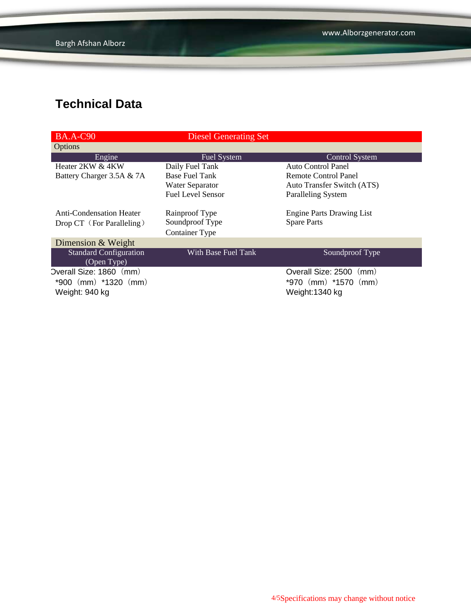| <b>BA.A-C90</b>                 | <b>Diesel Generating Set</b> |                                  |
|---------------------------------|------------------------------|----------------------------------|
| Options                         |                              |                                  |
| Engine                          | Fuel System                  | <b>Control System</b>            |
| Heater 2KW & 4KW                | Daily Fuel Tank              | Auto Control Panel               |
| Battery Charger 3.5A & 7A       | <b>Base Fuel Tank</b>        | Remote Control Panel             |
|                                 | <b>Water Separator</b>       | Auto Transfer Switch (ATS)       |
|                                 | <b>Fuel Level Sensor</b>     | <b>Paralleling System</b>        |
|                                 |                              |                                  |
| <b>Anti-Condensation Heater</b> | Rainproof Type               | <b>Engine Parts Drawing List</b> |
| Drop CT (For Paralleling)       | Soundproof Type              | <b>Spare Parts</b>               |
|                                 | <b>Container Type</b>        |                                  |
| Dimension & Weight              |                              |                                  |
| <b>Standard Configuration</b>   | With Base Fuel Tank          | Soundproof Type                  |
| (Open Type)                     |                              |                                  |
| Overall Size: 1860 (mm)         |                              | Overall Size: 2500 (mm)          |
| $*900$ (mm) $*1320$ (mm)        |                              | *970 $(mm)$ *1570 $(mm)$         |
| Weight: 940 kg                  |                              | Weight:1340 kg                   |